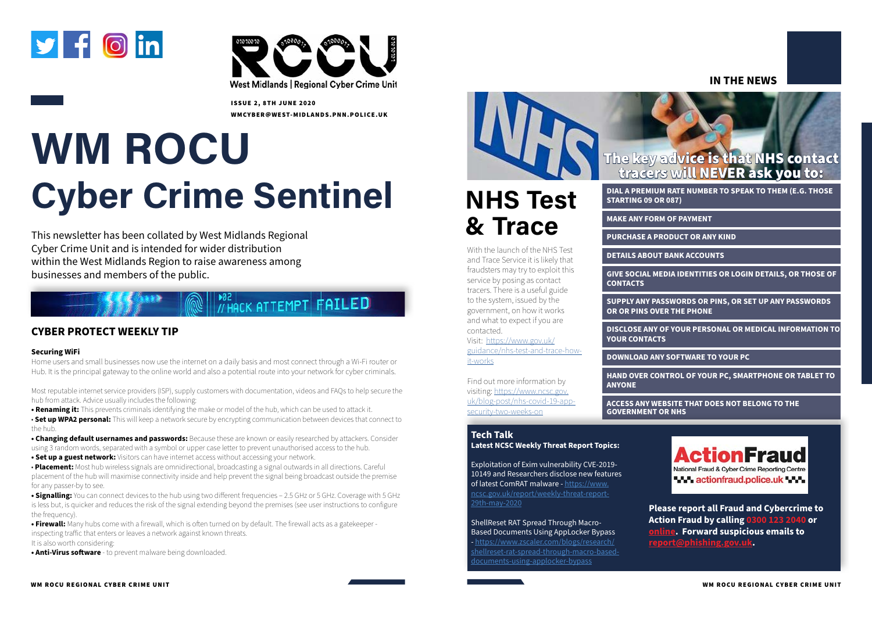# **WM ROCU Cyber Crime Sentinel**

#### **CYBER PROTECT WEEKLY TIP**

#### **Securing WiFi**

Home users and small businesses now use the internet on a daily basis and most connect through a Wi-Fi router or Hub. It is the principal gateway to the online world and also a potential route into your network for cyber criminals.

Most reputable internet service providers (ISP), supply customers with documentation, videos and FAQs to help secure the hub from attack. Advice usually includes the following:

**• Renaming it:** This prevents criminals identifying the make or model of the hub, which can be used to attack it.

• **Set up WPA2 personal:** This will keep a network secure by encrypting communication between devices that connect to the hub.

**• Changing default usernames and passwords:** Because these are known or easily researched by attackers. Consider using 3 random words, separated with a symbol or upper case letter to prevent unauthorised access to the hub.

**• Set up a guest network:** Visitors can have internet access without accessing your network.

• **Placement:** Most hub wireless signals are omnidirectional, broadcasting a signal outwards in all directions. Careful placement of the hub will maximise connectivity inside and help prevent the signal being broadcast outside the premise for any passer-by to see.

**• Signalling:** You can connect devices to the hub using two different frequencies – 2.5 GHz or 5 GHz. Coverage with 5 GHz is less but, is quicker and reduces the risk of the signal extending beyond the premises (see user instructions to configure the frequency).

**• Firewall:** Many hubs come with a firewall, which is often turned on by default. The firewall acts as a gatekeeper inspecting traffic that enters or leaves a network against known threats.

It is also worth considering:

**• Anti-Virus software** - to prevent malware being downloaded.



This newsletter has been collated by West Midlands Regional Cyber Crime Unit and is intended for wider distribution within the West Midlands Region to raise awareness among businesses and members of the public.

### **PO2**<br>// HACK ATTEMPT FAILED





ISSUE 2, 8TH JUNE 2020 WMCYBER@WEST-MIDLANDS.PNN.POLICE.UK

# **NHS Test & Trace**

#### **IN THE NEWS**

With the launch of the NHS Test and Trace Service it is likely that fraudsters may try to exploit this service by posing as contact tracers. There is a useful guide to the system, issued by the government, on how it works and what to expect if you are contacted.

Visit: [https://www.gov.uk/](https://www.gov.uk/guidance/nhs-test-and-trace-how-it-works) [guidance/nhs-test-and-trace-how](https://www.gov.uk/guidance/nhs-test-and-trace-how-it-works)[it-works](https://www.gov.uk/guidance/nhs-test-and-trace-how-it-works)

Find out more information by visiting: [https://www.ncsc.gov.](https://www.ncsc.gov.uk/blog-post/nhs-covid-19-app-security-two-weeks-on) [uk/blog-post/nhs-covid-19-app](https://www.ncsc.gov.uk/blog-post/nhs-covid-19-app-security-two-weeks-on)[security-two-weeks-on](https://www.ncsc.gov.uk/blog-post/nhs-covid-19-app-security-two-weeks-on)

**DIAL A PREMIUM RATE NUMBER TO SPEAK TO THEM (E.G. THOSE STARTING 09 OR 087)** 

**MAKE ANY FORM OF PAYMENT** 

**PURCHASE A PRODUCT OR ANY KIND** 

**DETAILS ABOUT BANK ACCOUNTS** 

**GIVE SOCIAL MEDIA IDENTITIES OR LOGIN DETAILS, OR THOSE OF** 

**CONTACTS** 

**SUPPLY ANY PASSWORDS OR PINS, OR SET UP ANY PASSWORDS OR OR PINS OVER THE PHONE** 

**DISCLOSE ANY OF YOUR PERSONAL OR MEDICAL INFORMATION TO YOUR CONTACTS** 

**DOWNLOAD ANY SOFTWARE TO YOUR PC** 

**HAND OVER CONTROL OF YOUR PC, SMARTPHONE OR TABLET TO** 

**ANYONE** 

**ACCESS ANY WEBSITE THAT DOES NOT BELONG TO THE GOVERNMENT OR NHS** 



#### **Tech Talk**

**Latest NCSC Weekly Threat Report Topics:** 

Exploitation of Exim vulnerability CVE-2019- 10149 and Researchers disclose new features of latest ComRAT malware - [https://www.](https://www.ncsc.gov.uk/report/weekly-threat-report-29th-may-2020) [ncsc.gov.uk/report/weekly-threat-report-](https://www.ncsc.gov.uk/report/weekly-threat-report-29th-may-2020)[29th-may-2020](https://www.ncsc.gov.uk/report/weekly-threat-report-29th-may-2020)

#### ShellReset RAT Spread Through Macro-Based Documents Using AppLocker Bypass

- [https://www.zscaler.com/blogs/research/](https://www.zscaler.com/blogs/research/shellreset-rat-spread-through-macro-based-documents-using-applocker-bypass) [shellreset-rat-spread-through-macro-based](https://www.zscaler.com/blogs/research/shellreset-rat-spread-through-macro-based-documents-using-applocker-bypass)[documents-using-applocker-bypass](https://www.zscaler.com/blogs/research/shellreset-rat-spread-through-macro-based-documents-using-applocker-bypass)



**[Please report all Fraud and Cybercrime to](https://www.actionfraud.police.uk/reporting-fraud-and-cyber-crime)  Action Fraud by calling 0300 123 2040 or [online.](https://www.actionfraud.police.uk/reporting-fraud-and-cyber-crime) Forward suspicious emails to [report@phishing.gov.uk.](mailto:report%40phishing.gov.uk?subject=)**